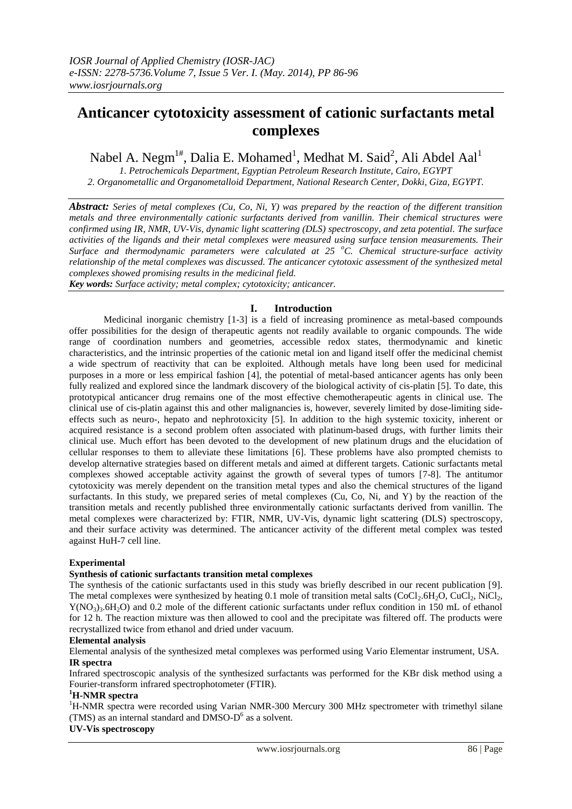# **Anticancer cytotoxicity assessment of cationic surfactants metal complexes**

Nabel A. Negm $^{1\#}$ , Dalia E. Mohamed<sup>1</sup>, Medhat M. Said<sup>2</sup>, Ali Abdel Aal<sup>1</sup>

*1. Petrochemicals Department, Egyptian Petroleum Research Institute, Cairo, EGYPT 2. Organometallic and Organometalloid Department, National Research Center, Dokki, Giza, EGYPT.*

*Abstract: Series of metal complexes (Cu, Co, Ni, Y) was prepared by the reaction of the different transition metals and three environmentally cationic surfactants derived from vanillin. Their chemical structures were confirmed using IR, NMR, UV-Vis, dynamic light scattering (DLS) spectroscopy, and zeta potential. The surface activities of the ligands and their metal complexes were measured using surface tension measurements. Their Surface and thermodynamic parameters were calculated at 25 <sup>o</sup>C. Chemical structure-surface activity relationship of the metal complexes was discussed. The anticancer cytotoxic assessment of the synthesized metal complexes showed promising results in the medicinal field.* 

*Key words: Surface activity; metal complex; cytotoxicity; anticancer.*

# **I. Introduction**

Medicinal inorganic chemistry [1-3] is a field of increasing prominence as metal-based compounds offer possibilities for the design of therapeutic agents not readily available to organic compounds. The wide range of coordination numbers and geometries, accessible redox states, thermodynamic and kinetic characteristics, and the intrinsic properties of the cationic metal ion and ligand itself offer the medicinal chemist a wide spectrum of reactivity that can be exploited. Although metals have long been used for medicinal purposes in a more or less empirical fashion [4], the potential of metal-based anticancer agents has only been fully realized and explored since the landmark discovery of the biological activity of cis-platin [5]. To date, this prototypical anticancer drug remains one of the most effective chemotherapeutic agents in clinical use. The clinical use of cis-platin against this and other malignancies is, however, severely limited by dose-limiting sideeffects such as neuro-, hepato and nephrotoxicity [5]. In addition to the high systemic toxicity, inherent or acquired resistance is a second problem often associated with platinum-based drugs, with further limits their clinical use. Much effort has been devoted to the development of new platinum drugs and the elucidation of cellular responses to them to alleviate these limitations [6]. These problems have also prompted chemists to develop alternative strategies based on different metals and aimed at different targets. Cationic surfactants metal complexes showed acceptable activity against the growth of several types of tumors [7-8]. The antitumor cytotoxicity was merely dependent on the transition metal types and also the chemical structures of the ligand surfactants. In this study, we prepared series of metal complexes (Cu, Co, Ni, and Y) by the reaction of the transition metals and recently published three environmentally cationic surfactants derived from vanillin. The metal complexes were characterized by: FTIR, NMR, UV-Vis, dynamic light scattering (DLS) spectroscopy, and their surface activity was determined. The anticancer activity of the different metal complex was tested against HuH-7 cell line.

# **Experimental**

#### **Synthesis of cationic surfactants transition metal complexes**

The synthesis of the cationic surfactants used in this study was briefly described in our recent publication [9]. The metal complexes were synthesized by heating 0.1 mole of transition metal salts (CoCl<sub>2</sub>.6H<sub>2</sub>O, CuCl<sub>2</sub>, NiCl<sub>2</sub>,  $Y(NO<sub>3</sub>)<sub>3</sub>$ .6H<sub>2</sub>O) and 0.2 mole of the different cationic surfactants under reflux condition in 150 mL of ethanol for 12 h. The reaction mixture was then allowed to cool and the precipitate was filtered off. The products were recrystallized twice from ethanol and dried under vacuum.

#### **Elemental analysis**

Elemental analysis of the synthesized metal complexes was performed using Vario Elementar instrument, USA. **IR spectra** 

Infrared spectroscopic analysis of the synthesized surfactants was performed for the KBr disk method using a Fourier-transform infrared spectrophotometer (FTIR).

## **<sup>1</sup>H-NMR spectra**

<sup>1</sup>H-NMR spectra were recorded using Varian NMR-300 Mercury 300 MHz spectrometer with trimethyl silane (TMS) as an internal standard and DMSO-D 6 as a solvent.

#### **UV-Vis spectroscopy**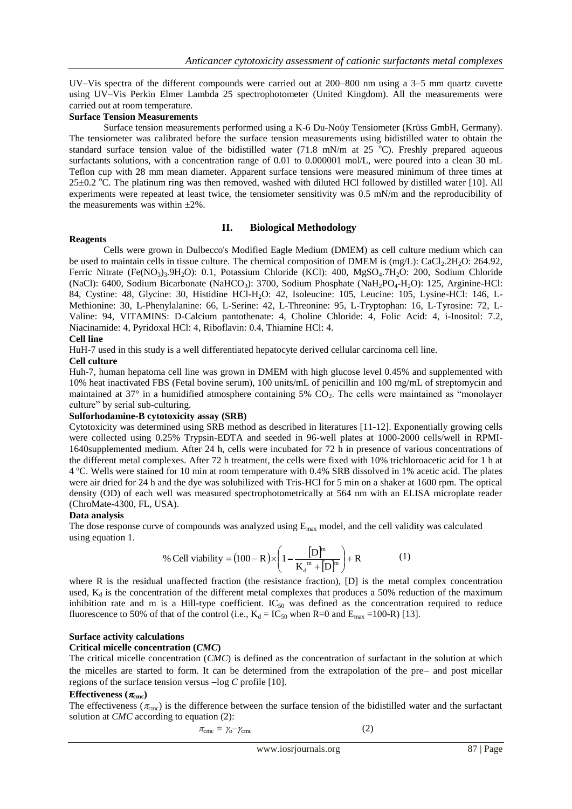UV–Vis spectra of the different compounds were carried out at 200–800 nm using a 3–5 mm quartz cuvette using UV–Vis Perkin Elmer Lambda 25 spectrophotometer (United Kingdom). All the measurements were carried out at room temperature.

## **Surface Tension Measurements**

Surface tension measurements performed using a K-6 Du-Noüy Tensiometer (Krüss GmbH, Germany). The tensiometer was calibrated before the surface tension measurements using bidistilled water to obtain the standard surface tension value of the bidistilled water (71.8 mN/m at 25  $^{\circ}$ C). Freshly prepared aqueous surfactants solutions, with a concentration range of 0.01 to 0.000001 mol/L, were poured into a clean 30 mL Teflon cup with 28 mm mean diameter. Apparent surface tensions were measured minimum of three times at  $25\pm0.2$  °C. The platinum ring was then removed, washed with diluted HCl followed by distilled water [10]. All experiments were repeated at least twice, the tensiometer sensitivity was 0.5 mN/m and the reproducibility of the measurements was within ±2%.

# **II. Biological Methodology**

#### **Reagents**

Cells were grown in Dulbecco's Modified Eagle Medium (DMEM) as cell culture medium which can be used to maintain cells in tissue culture. The chemical composition of DMEM is  $(mg/L)$ : CaCl<sub>2</sub>.2H<sub>2</sub>O: 264.92, Ferric Nitrate (Fe(NO<sub>3</sub>)<sub>3</sub>.9H<sub>2</sub>O): 0.1, Potassium Chloride (KCl): 400, MgSO<sub>4</sub>.7H<sub>2</sub>O: 200, Sodium Chloride (NaCl): 6400, Sodium Bicarbonate (NaHCO<sub>3</sub>): 3700, Sodium Phosphate (NaH<sub>2</sub>PO<sub>4</sub>-H<sub>2</sub>O): 125, Arginine-HCl: 84, Cystine: 48, Glycine: 30, Histidine HCl-H2O: 42, Isoleucine: 105, Leucine: 105, Lysine-HCl: 146, L-Methionine: 30, L-Phenylalanine: 66, L-Serine: 42, L-Threonine: 95, L-Tryptophan: 16, L-Tyrosine: 72, L-Valine: 94, VITAMINS: D-Calcium pantothenate: 4, Choline Chloride: 4, Folic Acid: 4, i-Inositol: 7.2, Niacinamide: 4, Pyridoxal HCl: 4, Riboflavin: 0.4, Thiamine HCl: 4.

#### **Cell line**

HuH-7 used in this study is a well differentiated hepatocyte derived cellular carcinoma cell line.

#### **Cell culture**

Huh-7, human hepatoma cell line was grown in DMEM with high glucose level 0.45% and supplemented with 10% heat inactivated FBS (Fetal bovine serum), 100 units/mL of penicillin and 100 mg/mL of streptomycin and maintained at  $37^\circ$  in a humidified atmosphere containing  $5\%$  CO<sub>2</sub>. The cells were maintained as "monolayer" culture" by serial sub-culturing.

## **Sulforhodamine-B cytotoxicity assay (SRB)**

Cytotoxicity was determined using SRB method as described in literatures [11-12]. Exponentially growing cells were collected using 0.25% Trypsin-EDTA and seeded in 96-well plates at 1000-2000 cells/well in RPMI-1640supplemented medium. After 24 h, cells were incubated for 72 h in presence of various concentrations of the different metal complexes. After 72 h treatment, the cells were fixed with 10% trichloroacetic acid for 1 h at 4 ºC. Wells were stained for 10 min at room temperature with 0.4% SRB dissolved in 1% acetic acid. The plates were air dried for 24 h and the dye was solubilized with Tris-HCl for 5 min on a shaker at 1600 rpm. The optical density (OD) of each well was measured spectrophotometrically at 564 nm with an ELISA microplate reader (ChroMate-4300, FL, USA).

#### **Data analysis**

The dose response curve of compounds was analyzed using  $E_{\text{max}}$  model, and the cell validity was calculated using equation 1.

% Cell viability = 
$$
(100 - R) \times \left(1 - \frac{[D]^m}{K_d^m + [D]^m}\right) + R
$$
 (1)

where R is the residual unaffected fraction (the resistance fraction), [D] is the metal complex concentration used,  $K_d$  is the concentration of the different metal complexes that produces a 50% reduction of the maximum inhibition rate and m is a Hill-type coefficient.  $IC_{50}$  was defined as the concentration required to reduce fluorescence to 50% of that of the control (i.e.,  $K_d = IC_{50}$  when R=0 and  $E_{max}$  =100-R) [13].

#### **Surface activity calculations**

#### **Critical micelle concentration (***CMC***)**

The critical micelle concentration (*CMC*) is defined as the concentration of surfactant in the solution at which the micelles are started to form. It can be determined from the extrapolation of the pre- and post micellar regions of the surface tension versus  $-\log C$  profile [10].

#### **Effectiveness**  $(\pi_{\text{cmc}})$

The effectiveness ( $\pi_{\rm cm}$ ) is the difference between the surface tension of the bidistilled water and the surfactant solution at *CMC* according to equation (2):

$$
\pi_{\rm cmc} = \gamma_{\rm o} - \gamma_{\rm cmc} \tag{2}
$$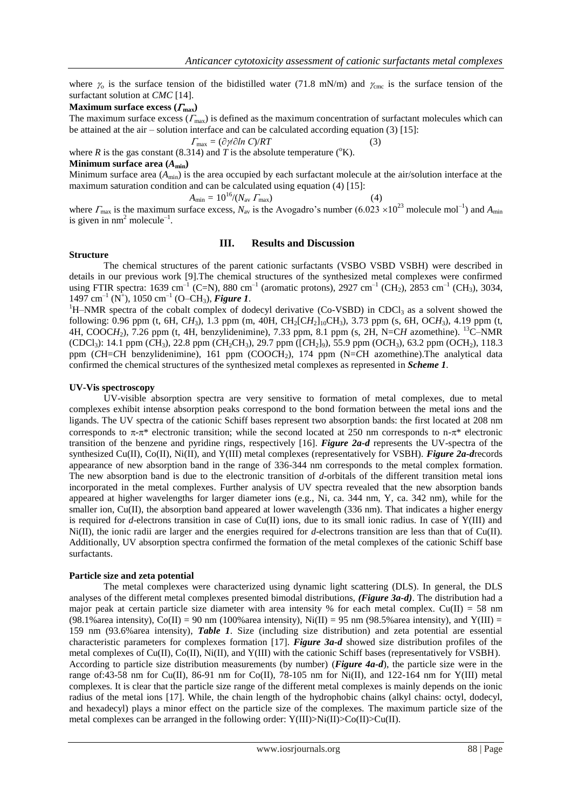where  $\gamma_0$  is the surface tension of the bidistilled water (71.8 mN/m) and  $\gamma_{\text{cme}}$  is the surface tension of the surfactant solution at *CMC* [14].

#### **Maximum surface excess**  $(\Gamma_{\text{max}})$

The maximum surface excess  $(\Gamma_{\text{max}})$  is defined as the maximum concentration of surfactant molecules which can be attained at the air – solution interface and can be calculated according equation (3) [15]:

$$
\Gamma_{\text{max}} = (\partial \gamma / \partial \ln C) / RT \tag{3}
$$

where *R* is the gas constant (8.314) and *T* is the absolute temperature ( $\mathrm{^{\circ}K}$ ).

# **Minimum surface area**  $(A_{\min})$

Minimum surface area  $(A_{\text{min}})$  is the area occupied by each surfactant molecule at the air/solution interface at the maximum saturation condition and can be calculated using equation (4) [15]:

$$
A_{\min} = 10^{16} / (N_{\text{av}} \, \Gamma_{\text{max}}) \tag{4}
$$

where  $\Gamma_{\text{max}}$  is the maximum surface excess,  $N_{\text{av}}$  is the Avogadro's number (6.023 × 10<sup>23</sup> molecule mol<sup>-1</sup>) and  $A_{\text{min}}$ is given in  $nm^2$  molecule<sup>-1</sup>.

# **Structure**

#### **III. Results and Discussion**

The chemical structures of the parent cationic surfactants (VSBO VSBD VSBH) were described in details in our previous work [9].The chemical structures of the synthesized metal complexes were confirmed using FTIR spectra: 1639 cm<sup>-1</sup> (C=N), 880 cm<sup>-1</sup> (aromatic protons), 2927 cm<sup>-1</sup> (CH<sub>2</sub>), 2853 cm<sup>-1</sup> (CH<sub>3</sub>), 3034, 1497 cm<sup>-1</sup> (N<sup>+</sup>), 1050 cm<sup>-1</sup> (O-CH<sub>3</sub>), **Figure 1**.

<sup>1</sup>H–NMR spectra of the cobalt complex of dodecyl derivative (Co-VSBD) in CDCl<sub>3</sub> as a solvent showed the following: 0.96 ppm (t, 6H, C*H*3), 1.3 ppm (m, 40H, CH2[C*H*2]10CH3), 3.73 ppm (s, 6H, OC*H*3), 4.19 ppm (t, 4H, COOC*H*2), 7.26 ppm (t, 4H, benzylidenimine), 7.33 ppm, 8.1 ppm (s, 2H, N=C*H* azomethine). <sup>13</sup>C–NMR (CDCl<sub>3</sub>): 14.1 ppm (*C*H<sub>3</sub>), 22.8 ppm (*CH*<sub>2</sub>CH<sub>3</sub>), 29.7 ppm ([*CH*<sub>2</sub>]<sub>9</sub>), 55.9 ppm (O*CH*<sub>3</sub>), 63.2 ppm (O*CH*<sub>2</sub>), 118.3 ppm (*C*H=*C*H benzylidenimine), 161 ppm (COO*C*H2), 174 ppm (N=*C*H azomethine).The analytical data confirmed the chemical structures of the synthesized metal complexes as represented in *Scheme 1*.

#### **UV-Vis spectroscopy**

UV-visible absorption spectra are very sensitive to formation of metal complexes, due to metal complexes exhibit intense absorption peaks correspond to the bond formation between the metal ions and the ligands. The UV spectra of the cationic Schiff bases represent two absorption bands: the first located at 208 nm corresponds to  $\pi$ - $\pi$ <sup>\*</sup> electronic transition; while the second located at 250 nm corresponds to n- $\pi$ <sup>\*</sup> electronic transition of the benzene and pyridine rings, respectively [16]. *Figure 2a-d* represents the UV-spectra of the synthesized Cu(II), Co(II), Ni(II), and Y(III) metal complexes (representatively for VSBH). *Figure 2a-d*records appearance of new absorption band in the range of 336-344 nm corresponds to the metal complex formation. The new absorption band is due to the electronic transition of *d*-orbitals of the different transition metal ions incorporated in the metal complexes. Further analysis of UV spectra revealed that the new absorption bands appeared at higher wavelengths for larger diameter ions (e.g., Ni, ca. 344 nm, Y, ca. 342 nm), while for the smaller ion, Cu(II), the absorption band appeared at lower wavelength (336 nm). That indicates a higher energy is required for *d*-electrons transition in case of  $Cu(II)$  ions, due to its small ionic radius. In case of  $Y(III)$  and Ni(II), the ionic radii are larger and the energies required for *d*-electrons transition are less than that of Cu(II). Additionally, UV absorption spectra confirmed the formation of the metal complexes of the cationic Schiff base surfactants.

#### **Particle size and zeta potential**

The metal complexes were characterized using dynamic light scattering (DLS). In general, the DLS analyses of the different metal complexes presented bimodal distributions, *(Figure 3a-d)*. The distribution had a major peak at certain particle size diameter with area intensity % for each metal complex. Cu(II) = 58 nm (98.1% area intensity),  $Co(II) = 90$  nm (100% area intensity),  $Ni(II) = 95$  nm (98.5% area intensity), and  $Y(III) = 95$ 159 nm (93.6%area intensity), *Table 1*. Size (including size distribution) and zeta potential are essential characteristic parameters for complexes formation [17]. *Figure 3a-d* showed size distribution profiles of the metal complexes of Cu(II), Co(II), Ni(II), and Y(III) with the cationic Schiff bases (representatively for VSBH). According to particle size distribution measurements (by number) (*Figure 4a-d*), the particle size were in the range of:43-58 nm for Cu(II), 86-91 nm for Co(II), 78-105 nm for Ni(II), and 122-164 nm for Y(III) metal complexes. It is clear that the particle size range of the different metal complexes is mainly depends on the ionic radius of the metal ions [17]. While, the chain length of the hydrophobic chains (alkyl chains: octyl, dodecyl, and hexadecyl) plays a minor effect on the particle size of the complexes. The maximum particle size of the metal complexes can be arranged in the following order:  $Y(III) > Ni(II) > Cu(II)$ .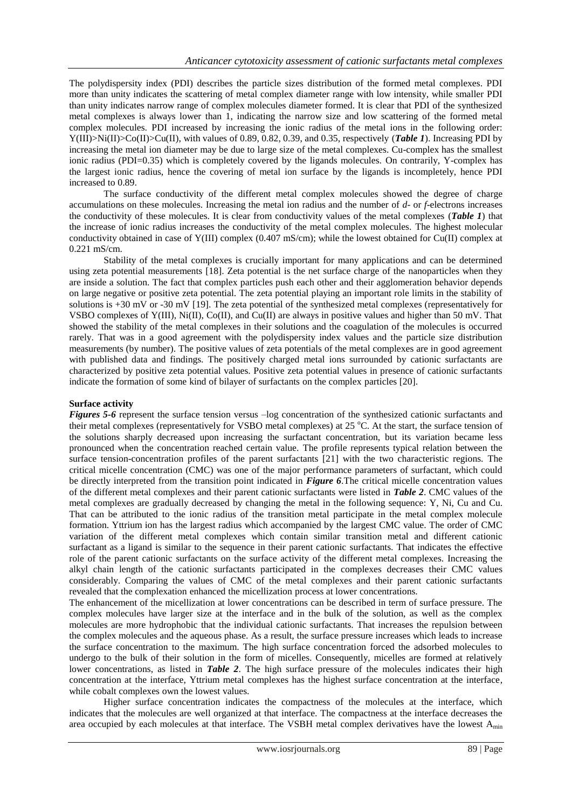The polydispersity index (PDI) describes the particle sizes distribution of the formed metal complexes. PDI more than unity indicates the scattering of metal complex diameter range with low intensity, while smaller PDI than unity indicates narrow range of complex molecules diameter formed. It is clear that PDI of the synthesized metal complexes is always lower than 1, indicating the narrow size and low scattering of the formed metal complex molecules. PDI increased by increasing the ionic radius of the metal ions in the following order: Y(III)>Ni(II)>Co(II)>Cu(II), with values of 0.89, 0.82, 0.39, and 0.35, respectively (*Table 1*). Increasing PDI by increasing the metal ion diameter may be due to large size of the metal complexes. Cu-complex has the smallest ionic radius (PDI=0.35) which is completely covered by the ligands molecules. On contrarily, Y-complex has the largest ionic radius, hence the covering of metal ion surface by the ligands is incompletely, hence PDI increased to 0.89.

The surface conductivity of the different metal complex molecules showed the degree of charge accumulations on these molecules. Increasing the metal ion radius and the number of *d*- or *f*-electrons increases the conductivity of these molecules. It is clear from conductivity values of the metal complexes (*Table 1*) that the increase of ionic radius increases the conductivity of the metal complex molecules. The highest molecular conductivity obtained in case of Y(III) complex (0.407 mS/cm); while the lowest obtained for Cu(II) complex at 0.221 mS/cm.

Stability of the metal complexes is crucially important for many applications and can be determined using zeta potential measurements [18]. Zeta potential is the net surface charge of the nanoparticles when they are inside a solution. The fact that complex particles push each other and their agglomeration behavior depends on large negative or positive zeta potential. The zeta potential playing an important role limits in the stability of solutions is  $+30$  mV or -30 mV [19]. The zeta potential of the synthesized metal complexes (representatively for VSBO complexes of Y(III), Ni(II), Co(II), and Cu(II) are always in positive values and higher than 50 mV. That showed the stability of the metal complexes in their solutions and the coagulation of the molecules is occurred rarely. That was in a good agreement with the polydispersity index values and the particle size distribution measurements (by number). The positive values of zeta potentials of the metal complexes are in good agreement with published data and findings. The positively charged metal ions surrounded by cationic surfactants are characterized by positive zeta potential values. Positive zeta potential values in presence of cationic surfactants indicate the formation of some kind of bilayer of surfactants on the complex particles [20].

## **Surface activity**

*Figures* 5-6 represent the surface tension versus –log concentration of the synthesized cationic surfactants and their metal complexes (representatively for VSBO metal complexes) at 25  $^{\circ}$ C. At the start, the surface tension of the solutions sharply decreased upon increasing the surfactant concentration, but its variation became less pronounced when the concentration reached certain value. The profile represents typical relation between the surface tension-concentration profiles of the parent surfactants [21] with the two characteristic regions. The critical micelle concentration (CMC) was one of the major performance parameters of surfactant, which could be directly interpreted from the transition point indicated in *Figure 6*.The critical micelle concentration values of the different metal complexes and their parent cationic surfactants were listed in *Table 2*. CMC values of the metal complexes are gradually decreased by changing the metal in the following sequence: Y, Ni, Cu and Cu. That can be attributed to the ionic radius of the transition metal participate in the metal complex molecule formation. Yttrium ion has the largest radius which accompanied by the largest CMC value. The order of CMC variation of the different metal complexes which contain similar transition metal and different cationic surfactant as a ligand is similar to the sequence in their parent cationic surfactants. That indicates the effective role of the parent cationic surfactants on the surface activity of the different metal complexes. Increasing the alkyl chain length of the cationic surfactants participated in the complexes decreases their CMC values considerably. Comparing the values of CMC of the metal complexes and their parent cationic surfactants revealed that the complexation enhanced the micellization process at lower concentrations.

The enhancement of the micellization at lower concentrations can be described in term of surface pressure. The complex molecules have larger size at the interface and in the bulk of the solution, as well as the complex molecules are more hydrophobic that the individual cationic surfactants. That increases the repulsion between the complex molecules and the aqueous phase. As a result, the surface pressure increases which leads to increase the surface concentration to the maximum. The high surface concentration forced the adsorbed molecules to undergo to the bulk of their solution in the form of micelles. Consequently, micelles are formed at relatively lower concentrations, as listed in *Table 2*. The high surface pressure of the molecules indicates their high concentration at the interface, Yttrium metal complexes has the highest surface concentration at the interface, while cobalt complexes own the lowest values.

Higher surface concentration indicates the compactness of the molecules at the interface, which indicates that the molecules are well organized at that interface. The compactness at the interface decreases the area occupied by each molecules at that interface. The VSBH metal complex derivatives have the lowest A<sub>min</sub>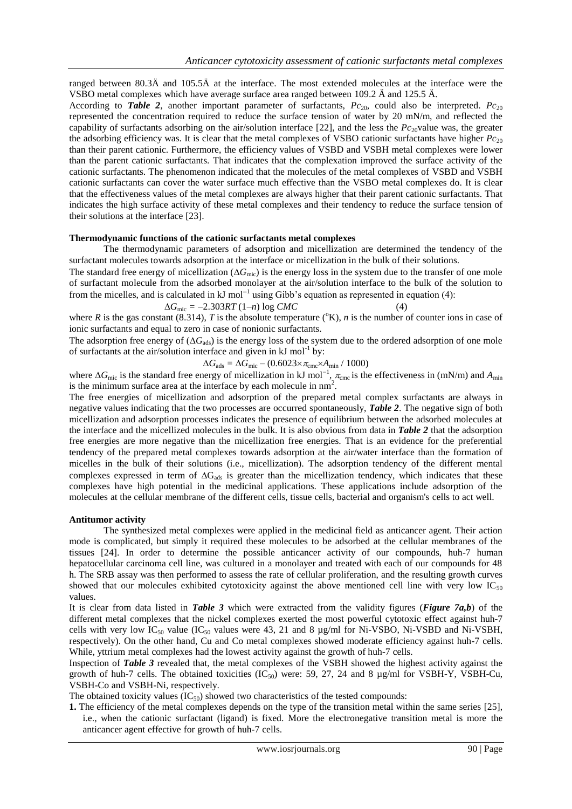ranged between 80.3Ä and 105.5Ä at the interface. The most extended molecules at the interface were the VSBO metal complexes which have average surface area ranged between 109.2 Ä and 125.5 Ä.

According to **Table 2**, another important parameter of surfactants,  $Pc_{20}$ , could also be interpreted.  $Pc_{20}$ represented the concentration required to reduce the surface tension of water by 20 mN/m, and reflected the capability of surfactants adsorbing on the air/solution interface  $[22]$ , and the less the  $Pc_{20}$ value was, the greater the adsorbing efficiency was. It is clear that the metal complexes of VSBO cationic surfactants have higher  $Pc_{20}$ than their parent cationic. Furthermore, the efficiency values of VSBD and VSBH metal complexes were lower than the parent cationic surfactants. That indicates that the complexation improved the surface activity of the cationic surfactants. The phenomenon indicated that the molecules of the metal complexes of VSBD and VSBH cationic surfactants can cover the water surface much effective than the VSBO metal complexes do. It is clear that the effectiveness values of the metal complexes are always higher that their parent cationic surfactants. That indicates the high surface activity of these metal complexes and their tendency to reduce the surface tension of their solutions at the interface [23].

#### **Thermodynamic functions of the cationic surfactants metal complexes**

The thermodynamic parameters of adsorption and micellization are determined the tendency of the surfactant molecules towards adsorption at the interface or micellization in the bulk of their solutions.

The standard free energy of micellization  $(\Delta G_{\text{mic}})$  is the energy loss in the system due to the transfer of one mole of surfactant molecule from the adsorbed monolayer at the air/solution interface to the bulk of the solution to from the micelles, and is calculated in kJ mol<sup>-1</sup> using Gibb's equation as represented in equation (4):

$$
\Delta G_{\text{mic}} = -2.303RT (1-n) \log CMC
$$
 (4)  
where *R* is the gas constant (8.314), *T* is the absolute temperature (<sup>o</sup>K), *n* is the number of counter ions in case of

ionic surfactants and equal to zero in case of nonionic surfactants.

The adsorption free energy of  $(\Delta G_{ads})$  is the energy loss of the system due to the ordered adsorption of one mole of surfactants at the air/solution interface and given in  $kJ$  mol<sup>-1</sup> by:

$$
\Delta G_{\text{ads}} = \Delta G_{\text{mic}} - (0.6023 \times \pi_{\text{cmc}} \times A_{\text{min}} / 1000)
$$

where  $\Delta G_{\text{mic}}$  is the standard free energy of micellization in kJ mol<sup>-1</sup>,  $\pi_{\text{cmc}}$  is the effectiveness in (mN/m) and  $A_{\text{min}}$ is the minimum surface area at the interface by each molecule in  $nm<sup>2</sup>$ .

The free energies of micellization and adsorption of the prepared metal complex surfactants are always in negative values indicating that the two processes are occurred spontaneously, *Table 2*. The negative sign of both micellization and adsorption processes indicates the presence of equilibrium between the adsorbed molecules at the interface and the micellized molecules in the bulk. It is also obvious from data in *Table 2* that the adsorption free energies are more negative than the micellization free energies. That is an evidence for the preferential tendency of the prepared metal complexes towards adsorption at the air/water interface than the formation of micelles in the bulk of their solutions (i.e., micellization). The adsorption tendency of the different mental complexes expressed in term of  $\Delta G_{ads}$  is greater than the micellization tendency, which indicates that these complexes have high potential in the medicinal applications. These applications include adsorption of the molecules at the cellular membrane of the different cells, tissue cells, bacterial and organism's cells to act well.

#### **Antitumor activity**

The synthesized metal complexes were applied in the medicinal field as anticancer agent. Their action mode is complicated, but simply it required these molecules to be adsorbed at the cellular membranes of the tissues [24]. In order to determine the possible anticancer activity of our compounds, huh-7 human hepatocellular carcinoma cell line, was cultured in a monolayer and treated with each of our compounds for 48 h. The SRB assay was then performed to assess the rate of cellular proliferation, and the resulting growth curves showed that our molecules exhibited cytotoxicity against the above mentioned cell line with very low  $IC_{50}$ values.

It is clear from data listed in *Table 3* which were extracted from the validity figures (*Figure 7a,b*) of the different metal complexes that the nickel complexes exerted the most powerful cytotoxic effect against huh-7 cells with very low IC<sub>50</sub> value (IC<sub>50</sub> values were 43, 21 and 8  $\mu$ g/ml for Ni-VSBO, Ni-VSBD and Ni-VSBH, respectively). On the other hand, Cu and Co metal complexes showed moderate efficiency against huh-7 cells. While, yttrium metal complexes had the lowest activity against the growth of huh-7 cells.

Inspection of *Table 3* revealed that, the metal complexes of the VSBH showed the highest activity against the growth of huh-7 cells. The obtained toxicities  $(IC_{50})$  were: 59, 27, 24 and 8 µg/ml for VSBH-Y, VSBH-Cu, VSBH-Co and VSBH-Ni, respectively.

The obtained toxicity values  $(IC_{50})$  showed two characteristics of the tested compounds:

**1.** The efficiency of the metal complexes depends on the type of the transition metal within the same series [25], i.e., when the cationic surfactant (ligand) is fixed. More the electronegative transition metal is more the anticancer agent effective for growth of huh-7 cells.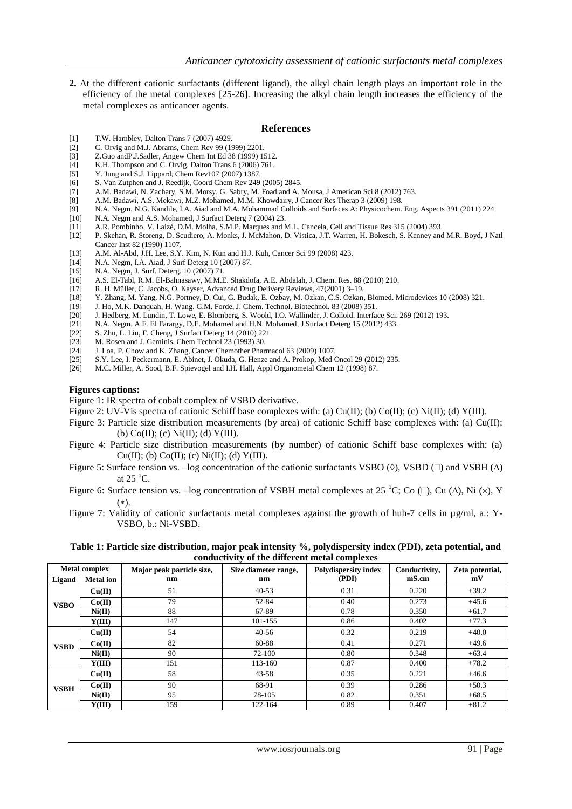**2.** At the different cationic surfactants (different ligand), the alkyl chain length plays an important role in the efficiency of the metal complexes [25-26]. Increasing the alkyl chain length increases the efficiency of the metal complexes as anticancer agents.

#### **References**

- [1] T.W. Hambley, Dalton Trans 7 (2007) 4929.<br>[2] C. Orvig and M.J. Abrams, Chem Rev 99 (19)
- [2] C. Orvig and M.J. Abrams, Chem Rev 99 (1999) 2201.<br>[3] Z.Guo and P.J. Sadler, Angew Chem Int Ed 38 (1999) 1:
- [3] Z.Guo andP.J.Sadler, Angew Chem Int Ed 38 (1999) 1512.
- K.H. Thompson and C. Orvig, Dalton Trans 6 (2006) 761.
- [5] Y. Jung and S.J. Lippard, Chem Rev107 (2007) 1387.
- [6] S. Van Zutphen and J. Reedijk, Coord Chem Rev 249 (2005) 2845.<br>[7] A.M. Badawi, N. Zachary, S.M. Morsy, G. Sabry, M. Foad and A.
- [7] A.M. Badawi, N. Zachary, S.M. Morsy, G. Sabry, M. Foad and A. Mousa, J American Sci 8 (2012) 763.
- [8] A.M. Badawi, A.S. Mekawi, M.Z. Mohamed, M.M. Khowdairy, J Cancer Res Therap 3 (2009) 198.
- [9] N.A. Negm, N.G. Kandile, I.A. Aiad and M.A. Mohammad Colloids and Surfaces A: Physicochem. Eng. Aspects 391 (2011) 224.<br>[10] N.A. Negm and A.S. Mohamed, J Surfact Deterg 7 (2004) 23.
- [10] N.A. Negm and A.S. Mohamed, J Surfact Deterg 7 (2004) 23.
- [11] A.R. Pombinho, V. Laizé, D.M. Molha, S.M.P. Marques and M.L. Cancela, Cell and Tissue Res 315 (2004) 393.
- [12] P. Skehan, R. Storeng, D. Scudiero, A. Monks, J. McMahon, D. Vistica, J.T. Warren, H. Bokesch, S. Kenney and M.R. Boyd, J Natl Cancer Inst 82 (1990) 1107.
- [13] A.M. Al-Abd, J.H. Lee, S.Y. Kim, N. Kun and H.J. Kuh, Cancer Sci 99 (2008) 423.<br>[14] N.A. Negm, J.A. Aiad, J. Surf Deterg 10 (2007) 87.
- N.A. Negm, I.A. Aiad, J Surf Deterg 10 (2007) 87.
- [15] N.A. Negm, J. Surf. Deterg. 10 (2007) 71.<br>[16] A.S. El-Tabl, R.M. El-Bahnasawy, M.M.I.
- [16] A.S. El-Tabl, R.M. El-Bahnasawy, M.M.E. Shakdofa, A.E. Abdalah, J. Chem. Res. 88 (2010) 210.
- [17] R. H. Müller, C. Jacobs, O. Kayser, Advanced Drug Delivery Reviews, 47(2001) 3–19.
- [18] Y. Zhang, M. Yang, N.G. Portney, D. Cui, G. Budak, E. Ozbay, M. Ozkan, C.S. Ozkan, Biomed. Microdevices 10 (2008) 321.
- [19] J. Ho, M.K. Danquah, H. Wang, G.M. Forde, J. Chem. Technol. Biotechnol. 83 (2008) 351.
- [20] J. Hedberg, M. Lundin, T. Lowe, E. Blomberg, S. Woold, I.O. Wallinder, J. Colloid. Interface Sci. 269 (2012) 193.
- N.A. Negm, A.F. El Farargy, D.E. Mohamed and H.N. Mohamed, J Surfact Deterg 15 (2012) 433.
- 
- [22] S. Zhu, L. Liu, F. Cheng, J Surfact Deterg 14 (2010) 221.<br>[23] M. Rosen and J. Geminis, Chem Technol 23 (1993) 30. [23] M. Rosen and J. Geminis, Chem Technol 23 (1993) 30.<br>[24] J. Loa, P. Chow and K. Zhang, Cancer Chemother Phari
- J. Loa, P. Chow and K. Zhang, Cancer Chemother Pharmacol 63 (2009) 1007.
- [25] S.Y. Lee, I. Peckermann, E. Abinet, J. Okuda, G. Henze and A. Prokop, Med Oncol 29 (2012) 235.
- [26] M.C. Miller, A. Sood, B.F. Spievogel and I.H. Hall, Appl Organometal Chem 12 (1998) 87.

#### **Figures captions:**

Figure 1: IR spectra of cobalt complex of VSBD derivative.

- Figure 2: UV-Vis spectra of cationic Schiff base complexes with: (a) Cu(II); (b) Co(II); (c) Ni(II); (d) Y(III).
- Figure 3: Particle size distribution measurements (by area) of cationic Schiff base complexes with: (a) Cu(II); (b)  $Co(II)$ ; (c)  $Ni(II)$ ; (d)  $Y(III)$ .
- Figure 4: Particle size distribution measurements (by number) of cationic Schiff base complexes with: (a)  $Cu(II)$ ; (b)  $Co(II)$ ; (c)  $Ni(II)$ ; (d)  $Y(III)$ .
- Figure 5: Surface tension vs. –log concentration of the cationic surfactants VSBO ( $\Diamond$ ), VSBD ( $\Box$ ) and VSBH ( $\Delta$ ) at  $25^{\circ}$ C.
- Figure 6: Surface tension vs. –log concentration of VSBH metal complexes at 25 °C; Co  $(\Box)$ , Cu  $(\Delta)$ , Ni  $(\times)$ , Y  $(*)$ .
- Figure 7: Validity of cationic surfactants metal complexes against the growth of huh-7 cells in µg/ml, a.: Y-VSBO, b.: Ni-VSBD.

**Table 1: Particle size distribution, major peak intensity %, polydispersity index (PDI), zeta potential, and conductivity of the different metal complexes**

|             | <b>Metal complex</b> | Major peak particle size, | Size diameter range, | <b>Polydispersity index</b> | Conductivity, | Zeta potential, |
|-------------|----------------------|---------------------------|----------------------|-----------------------------|---------------|-----------------|
| Ligand      | <b>Metal</b> ion     | nm                        | nm                   | (PDI)                       | mS.cm         | mV              |
|             | Cu(II)               | 51                        | $40 - 53$            | 0.31                        | 0.220         | $+39.2$         |
| <b>VSBO</b> | Co(II)               | 79                        | 52-84                | 0.40                        | 0.273         | $+45.6$         |
|             | Ni(II)               | 88                        | 67-89                | 0.78                        | 0.350         | $+61.7$         |
|             | Y(III)               | 147                       | 101-155              | 0.86                        | 0.402         | $+77.3$         |
|             | Cu(II)               | 54                        | $40 - 56$            | 0.32                        | 0.219         | $+40.0$         |
| <b>VSBD</b> | Co(II)               | 82                        | 60-88                | 0.41                        | 0.271         | $+49.6$         |
|             | Ni(II)               | 90                        | 72-100               | 0.80                        | 0.348         | $+63.4$         |
|             | Y(III)               | 151                       | 113-160              | 0.87                        | 0.400         | $+78.2$         |
|             | Cu(II)               | 58                        | $43 - 58$            | 0.35                        | 0.221         | $+46.6$         |
| <b>VSBH</b> | Co(II)               | 90                        | 68-91                | 0.39                        | 0.286         | $+50.3$         |
|             | Ni(II)               | 95                        | 78-105               | 0.82                        | 0.351         | $+68.5$         |
|             | Y(III)               | 159                       | 122-164              | 0.89                        | 0.407         | $+81.2$         |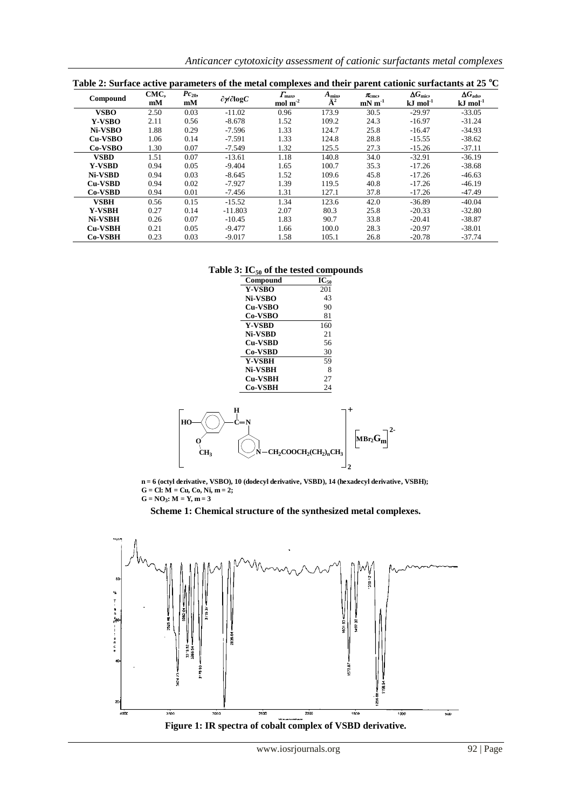*Anticancer cytotoxicity assessment of cationic surfactants metal complexes*

| Table 2: Surface active parameters of the metal complexes and their parent cationic surfactants at 25 °C |            |                 |                                        |                                            |                                     |                                 |                                                    |                                                |
|----------------------------------------------------------------------------------------------------------|------------|-----------------|----------------------------------------|--------------------------------------------|-------------------------------------|---------------------------------|----------------------------------------------------|------------------------------------------------|
| Compound                                                                                                 | CMC.<br>mM | $Pc_{20}$<br>mM | $\partial \mathcal{W} \partial \log C$ | $\Gamma_{\rm max}$<br>$mol \text{ m}^{-2}$ | $A_{\min}$<br>$\ddot{\mathrm{A}}^2$ | $\pi_{\text{cm-c}}$<br>$mN m-1$ | $\Delta G_{\text{mic}},$<br>$kJ$ mol <sup>-1</sup> | $\Delta G_{\rm ads}$<br>$kJ$ mol <sup>-1</sup> |
| <b>VSBO</b>                                                                                              | 2.50       | 0.03            | $-11.02$                               | 0.96                                       | 173.9                               | 30.5                            | $-29.97$                                           | $-33.05$                                       |
| <b>Y-VSBO</b>                                                                                            | 2.11       | 0.56            | $-8.678$                               | 1.52                                       | 109.2                               | 24.3                            | $-16.97$                                           | $-31.24$                                       |
| Ni-VSBO                                                                                                  | 1.88       | 0.29            | $-7.596$                               | 1.33                                       | 124.7                               | 25.8                            | $-16.47$                                           | $-34.93$                                       |
| Cu-VSBO                                                                                                  | 1.06       | 0.14            | $-7.591$                               | 1.33                                       | 124.8                               | 28.8                            | $-15.55$                                           | $-38.62$                                       |
| Co-VSBO                                                                                                  | 1.30       | 0.07            | $-7.549$                               | 1.32                                       | 125.5                               | 27.3                            | $-15.26$                                           | $-37.11$                                       |
| <b>VSBD</b>                                                                                              | 1.51       | 0.07            | $-13.61$                               | 1.18                                       | 140.8                               | 34.0                            | $-32.91$                                           | $-36.19$                                       |
| <b>Y-VSBD</b>                                                                                            | 0.94       | 0.05            | $-9.404$                               | 1.65                                       | 100.7                               | 35.3                            | $-17.26$                                           | $-38.68$                                       |
| Ni-VSBD                                                                                                  | 0.94       | 0.03            | $-8.645$                               | 1.52                                       | 109.6                               | 45.8                            | $-17.26$                                           | $-46.63$                                       |
| <b>Cu-VSBD</b>                                                                                           | 0.94       | 0.02            | -7.927                                 | 1.39                                       | 119.5                               | 40.8                            | $-17.26$                                           | $-46.19$                                       |
| Co-VSBD                                                                                                  | 0.94       | 0.01            | -7.456                                 | 1.31                                       | 127.1                               | 37.8                            | $-17.26$                                           | $-47.49$                                       |
| <b>VSBH</b>                                                                                              | 0.56       | 0.15            | $-15.52$                               | 1.34                                       | 123.6                               | 42.0                            | $-36.89$                                           | $-40.04$                                       |
| <b>Y-VSBH</b>                                                                                            | 0.27       | 0.14            | $-11.803$                              | 2.07                                       | 80.3                                | 25.8                            | $-20.33$                                           | $-32.80$                                       |
| Ni-VSBH                                                                                                  | 0.26       | 0.07            | $-10.45$                               | 1.83                                       | 90.7                                | 33.8                            | $-20.41$                                           | $-38.87$                                       |
| <b>Cu-VSBH</b>                                                                                           | 0.21       | 0.05            | $-9.477$                               | 1.66                                       | 100.0                               | 28.3                            | $-20.97$                                           | $-38.01$                                       |
| <b>Co-VSBH</b>                                                                                           | 0.23       | 0.03            | -9.017                                 | 1.58                                       | 105.1                               | 26.8                            | $-20.78$                                           | -37.74                                         |

## **Table 3: IC<sup>50</sup> of the tested compounds**

| Compound       | $IC_{50}$ |
|----------------|-----------|
| <b>Y-VSBO</b>  | 201       |
| Ni-VSBO        | 43        |
| <b>Cu-VSBO</b> | 90        |
| Co-VSBO        | 81        |
| <b>Y-VSBD</b>  | 160       |
| Ni-VSBD        | 21        |
| <b>Cu-VSBD</b> | 56        |
| <b>Co-VSBD</b> | 30        |
| <b>Y-VSBH</b>  | 59        |
| Ni-VSBH        | 8         |
| <b>Cu-VSBH</b> | 27        |
| <b>Co-VSBH</b> | 24        |



**n = 6 (octyl derivative, VSBO), 10 (dodecyl derivative, VSBD), 14 (hexadecyl derivative, VSBH); G = Cl: M = Cu, Co, Ni, m = 2;**  $G = NO_3$ :  $M = Y, m = 3$ 

## **Scheme 1: Chemical structure of the synthesized metal complexes.**

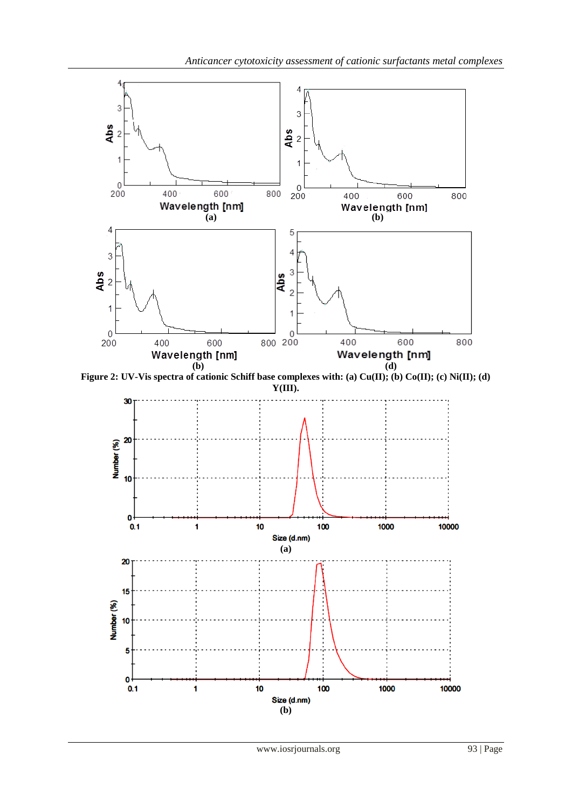

**(b)**

Size (d.nm)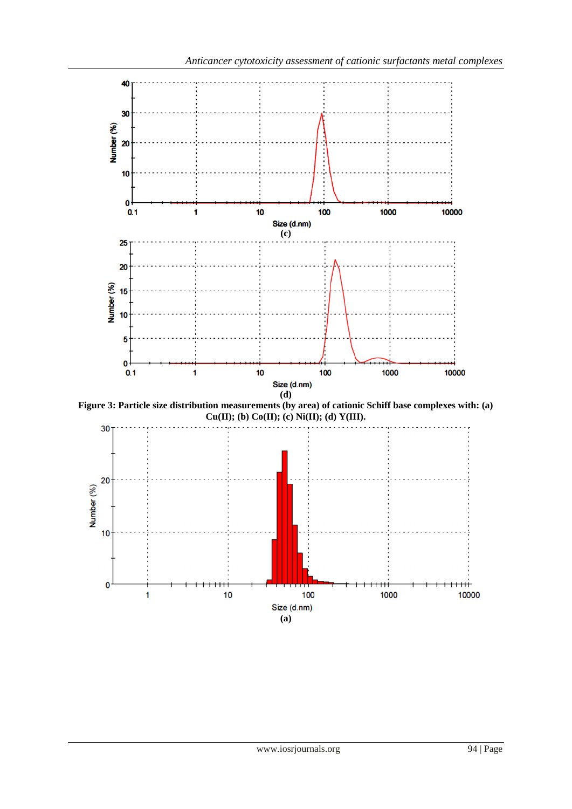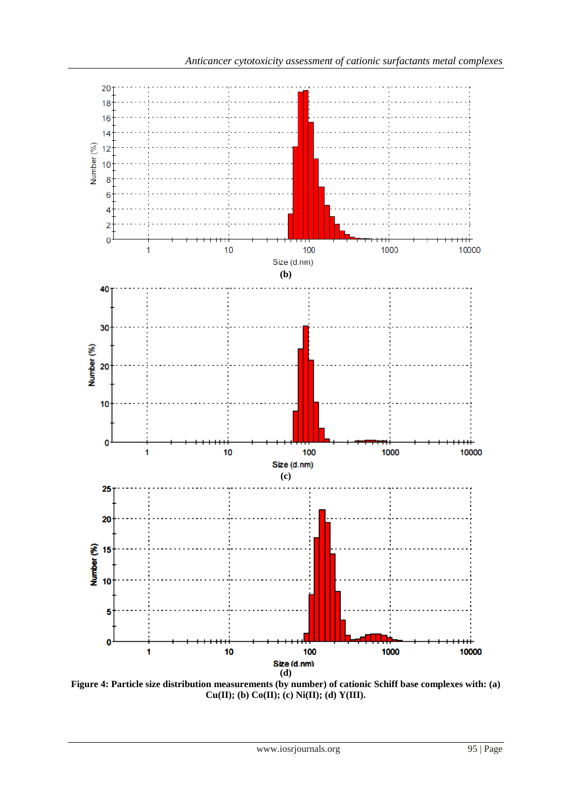

**Figure 4: Particle size distribution measurements (by number) of cationic Schiff base complexes with: (a) Cu(II); (b) Co(II); (c) Ni(II); (d) Y(III).**